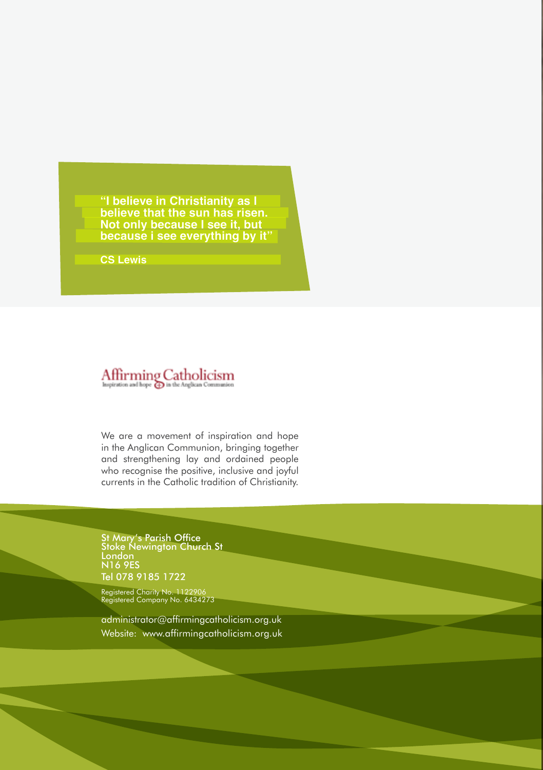**"I believe in Christianity as I believe that the sun has risen. Not only because I see it, but because i see everything by it"** 

**CS Lewis**

### $\underset{\text{Ingission and hope}}{\text{Affirmining Catholicism}}$

We are a movement of inspiration and hope in the Anglican Communion, bringing together and strengthening lay and ordained people who recognise the positive, inclusive and joyful currents in the Catholic tradition of Christianity.

St Mary's Parish Office Stoke Newington Church St London N16 9ES Tel 078 9185 1722

Registered Charity No. 1122906 Registered Company No. 6434273

**16 Affirming Catholicism** Guidelines

administrator@affirmingcatholicism.org.uk Website: www.affirmingcatholicism.org.uk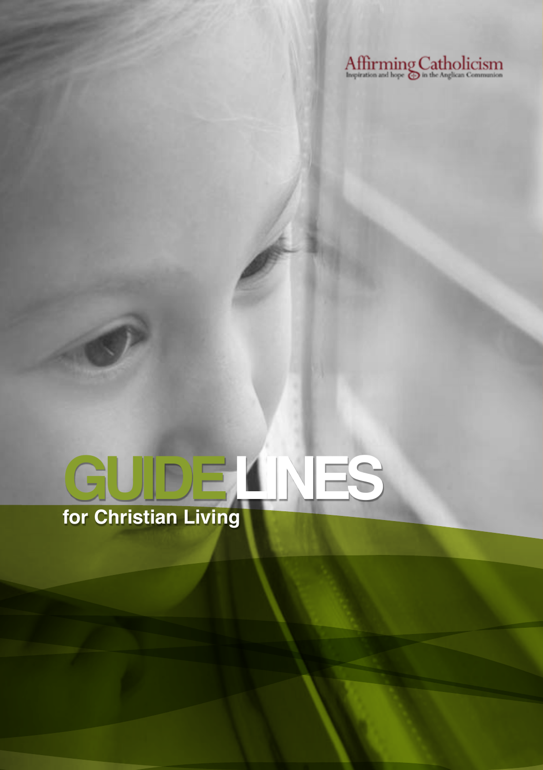

**Affirming Catholicism** Guidelines **17**

### **GUIDELINES for Christian Living**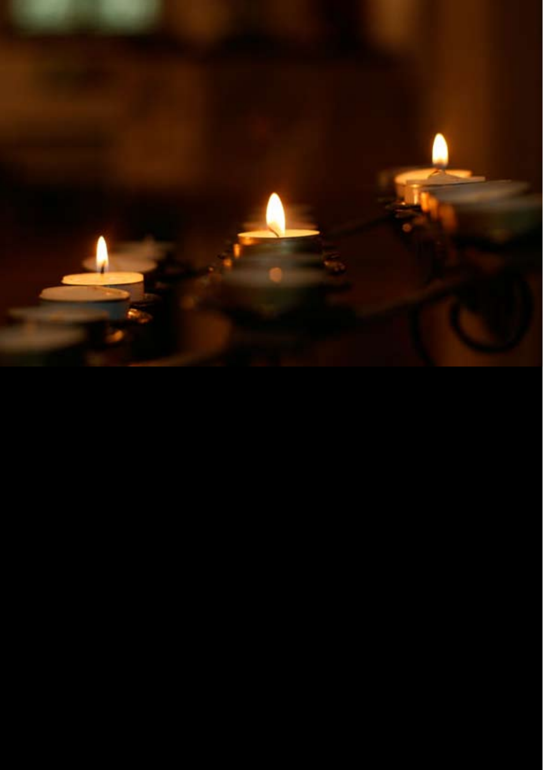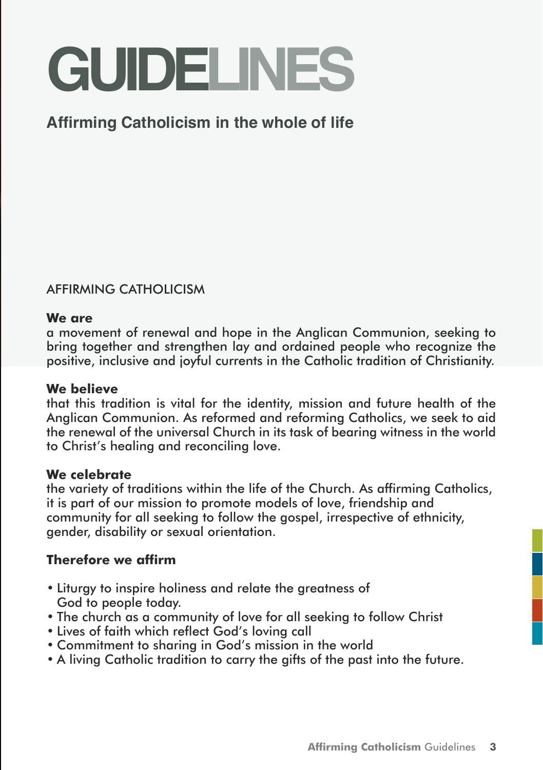# **GUIDELINES**

#### **Affirming Catholicism in the whole of life**

#### AFFIRMING CATHOLICISM

#### **We are**

a movement of renewal and hope in the Anglican Communion, seeking to bring together and strengthen lay and ordained people who recognize the positive, inclusive and joyful currents in the Catholic tradition of Christianity.

#### **We believe**

that this tradition is vital for the identity, mission and future health of the Anglican Communion. As reformed and reforming Catholics, we seek to aid the renewal of the universal Church in its task of bearing witness in the world to Christ's healing and reconciling love.

#### **We celebrate**

the variety of traditions within the life of the Church. As affirming Catholics, it is part of our mission to promote models of love, friendship and community for all seeking to follow the gospel, irrespective of ethnicity, gender, disability or sexual orientation.

#### **Therefore we affirm**

- • Liturgy to inspire holiness and relate the greatness of God to people today.
- The church as a community of love for all seeking to follow Christ
- • Lives of faith which reflect God's loving call
- • Commitment to sharing in God's mission in the world
- • A living Catholic tradition to carry the gifts of the past into the future.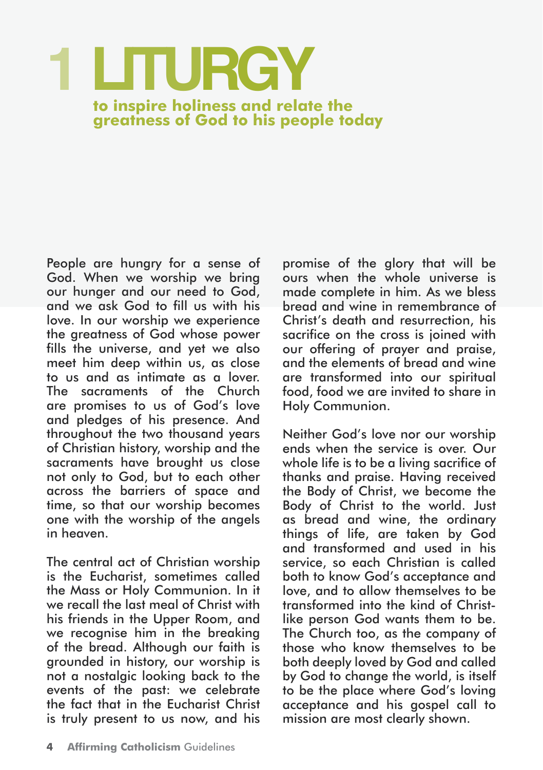## **1 <b>LITURGY**<br>to inspire holiness and relate the **to inspire holiness and relate the greatness of God to his people today**

People are hungry for a sense of God. When we worship we bring our hunger and our need to God, and we ask God to fill us with his love. In our worship we experience the greatness of God whose power fills the universe, and yet we also meet him deep within us, as close to us and as intimate as a lover. The sacraments of the Church are promises to us of God's love and pledges of his presence. And throughout the two thousand years of Christian history, worship and the sacraments have brought us close not only to God, but to each other across the barriers of space and time, so that our worship becomes one with the worship of the angels in heaven.

The central act of Christian worship is the Eucharist, sometimes called the Mass or Holy Communion. In it we recall the last meal of Christ with his friends in the Upper Room, and we recognise him in the breaking of the bread. Although our faith is grounded in history, our worship is not a nostalgic looking back to the events of the past: we celebrate the fact that in the Eucharist Christ is truly present to us now, and his

promise of the glory that will be ours when the whole universe is made complete in him. As we bless bread and wine in remembrance of Christ's death and resurrection, his sacrifice on the cross is joined with our offering of prayer and praise, and the elements of bread and wine are transformed into our spiritual food, food we are invited to share in Holy Communion.

Neither God's love nor our worship ends when the service is over. Our whole life is to be a living sacrifice of thanks and praise. Having received the Body of Christ, we become the Body of Christ to the world. Just as bread and wine, the ordinary things of life, are taken by God and transformed and used in his service, so each Christian is called both to know God's acceptance and love, and to allow themselves to be transformed into the kind of Christlike person God wants them to be. The Church too, as the company of those who know themselves to be both deeply loved by God and called by God to change the world, is itself to be the place where God's loving acceptance and his gospel call to mission are most clearly shown.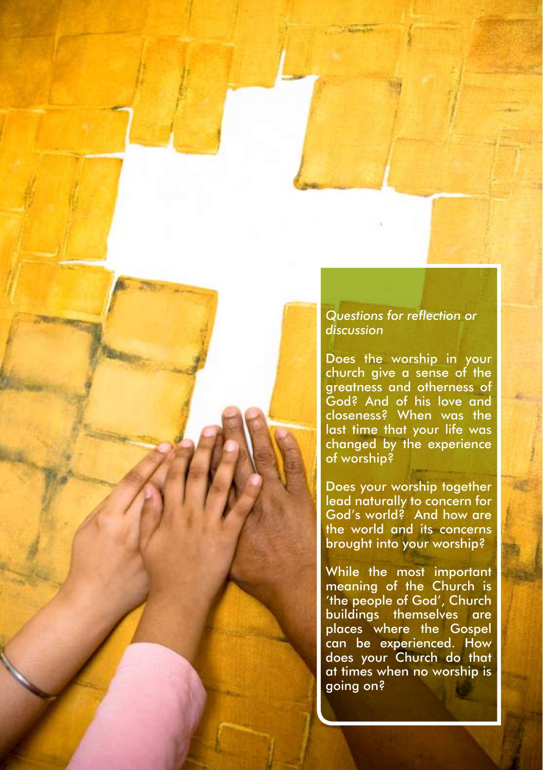Does the worship in your church give a sense of the greatness and otherness of God? And of his love and closeness? When was the last time that your life was changed by the experience of worship?

Does your worship together lead naturally to concern for God's world? And how are the world and its concerns brought into your worship?

While the most important meaning of the Church is 'the people of God', Church buildings themselves are places where the Gospel can be experienced. How does your Church do that at times when no worship is going on?

**Affirming Catholicism** Guidelines **5**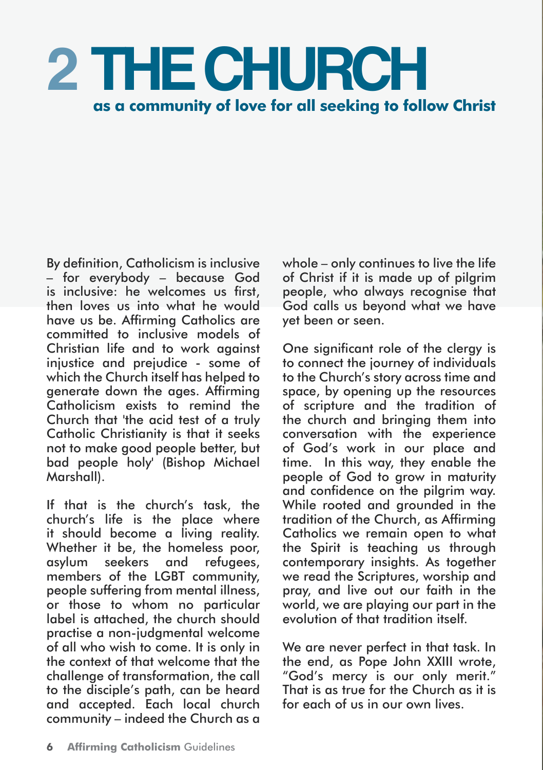### **2 THE CHURCH as a community of love for all seeking to follow Christ**

By definition, Catholicism is inclusive – for everybody – because God is inclusive: he welcomes us first, then loves us into what he would have us be. Affirming Catholics are committed to inclusive models of Christian life and to work against injustice and prejudice - some of which the Church itself has helped to generate down the ages. Affirming Catholicism exists to remind the Church that 'the acid test of a truly Catholic Christianity is that it seeks not to make good people better, but bad people holy' (Bishop Michael Marshall).

If that is the church's task, the church's life is the place where it should become a living reality. Whether it be, the homeless poor, asylum seekers and refugees, members of the LGBT community, people suffering from mental illness, or those to whom no particular label is attached, the church should practise a non-judgmental welcome of all who wish to come. It is only in the context of that welcome that the challenge of transformation, the call to the disciple's path, can be heard and accepted. Each local church community – indeed the Church as a whole – only continues to live the life of Christ if it is made up of pilgrim people, who always recognise that God calls us beyond what we have yet been or seen.

One significant role of the clergy is to connect the journey of individuals to the Church's story across time and space, by opening up the resources of scripture and the tradition of the church and bringing them into conversation with the experience of God's work in our place and time. In this way, they enable the people of God to grow in maturity and confidence on the pilgrim way. While rooted and grounded in the tradition of the Church, as Affirming Catholics we remain open to what the Spirit is teaching us through contemporary insights. As together we read the Scriptures, worship and pray, and live out our faith in the world, we are playing our part in the evolution of that tradition itself.

We are never perfect in that task. In the end, as Pope John XXIII wrote, "God's mercy is our only merit." That is as true for the Church as it is for each of us in our own lives.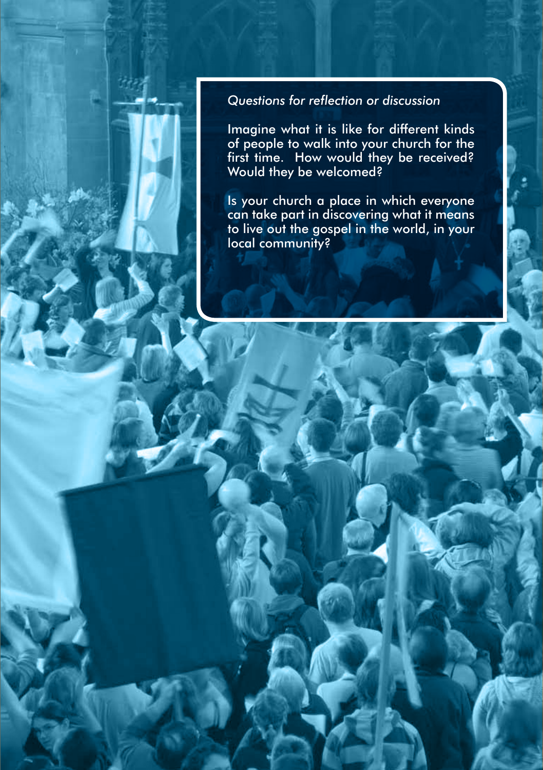Imagine what it is like for different kinds of people to walk into your church for the first time. How would they be received? Would they be welcomed?

Is your church a place in which everyone can take part in discovering what it means to live out the gospel in the world, in your local community?

**Affirming Catholicism** Guidelines **7**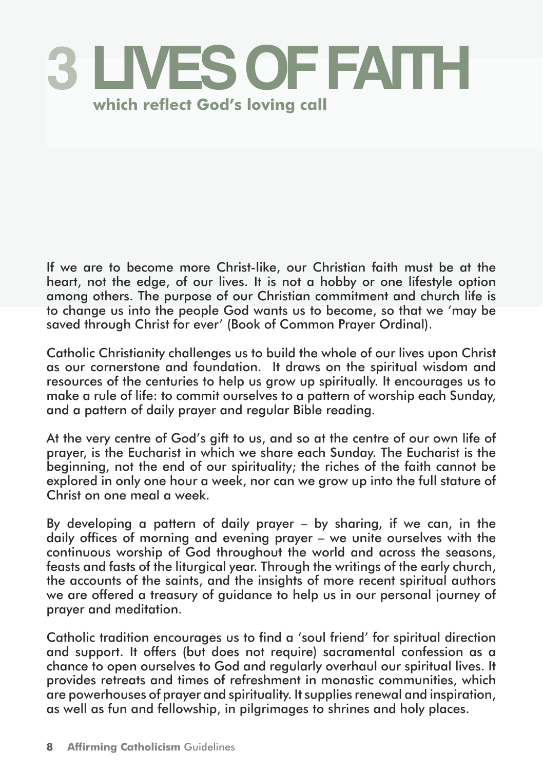

If we are to become more Christ-like, our Christian faith must be at the heart, not the edge, of our lives. It is not a hobby or one lifestyle option among others. The purpose of our Christian commitment and church life is to change us into the people God wants us to become, so that we 'may be saved through Christ for ever' (Book of Common Prayer Ordinal).

Catholic Christianity challenges us to build the whole of our lives upon Christ as our cornerstone and foundation. It draws on the spiritual wisdom and resources of the centuries to help us grow up spiritually. It encourages us to make a rule of life: to commit ourselves to a pattern of worship each Sunday, and a pattern of daily prayer and regular Bible reading.

At the very centre of God's gift to us, and so at the centre of our own life of prayer, is the Eucharist in which we share each Sunday. The Eucharist is the beginning, not the end of our spirituality; the riches of the faith cannot be explored in only one hour a week, nor can we grow up into the full stature of Christ on one meal a week.

By developing a pattern of daily prayer – by sharing, if we can, in the daily offices of morning and evening prayer – we unite ourselves with the continuous worship of God throughout the world and across the seasons, feasts and fasts of the liturgical year. Through the writings of the early church, the accounts of the saints, and the insights of more recent spiritual authors we are offered a treasury of guidance to help us in our personal journey of prayer and meditation.

Catholic tradition encourages us to find a 'soul friend' for spiritual direction and support. It offers (but does not require) sacramental confession as a chance to open ourselves to God and regularly overhaul our spiritual lives. It provides retreats and times of refreshment in monastic communities, which are powerhouses of prayer and spirituality. It supplies renewal and inspiration, as well as fun and fellowship, in pilgrimages to shrines and holy places.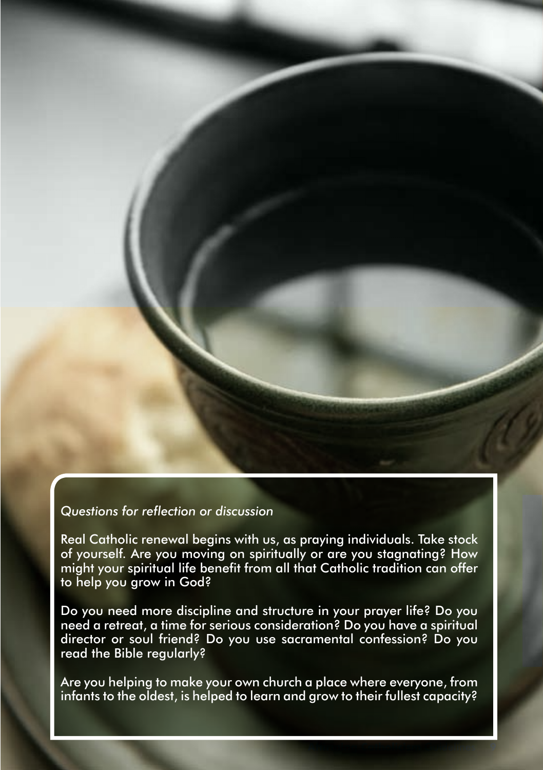Real Catholic renewal begins with us, as praying individuals. Take stock of yourself. Are you moving on spiritually or are you stagnating? How might your spiritual life benefit from all that Catholic tradition can offer to help you grow in God?

Do you need more discipline and structure in your prayer life? Do you need a retreat, a time for serious consideration? Do you have a spiritual director or soul friend? Do you use sacramental confession? Do you read the Bible regularly?

Are you helping to make your own church a place where everyone, from infants to the oldest, is helped to learn and grow to their fullest capacity?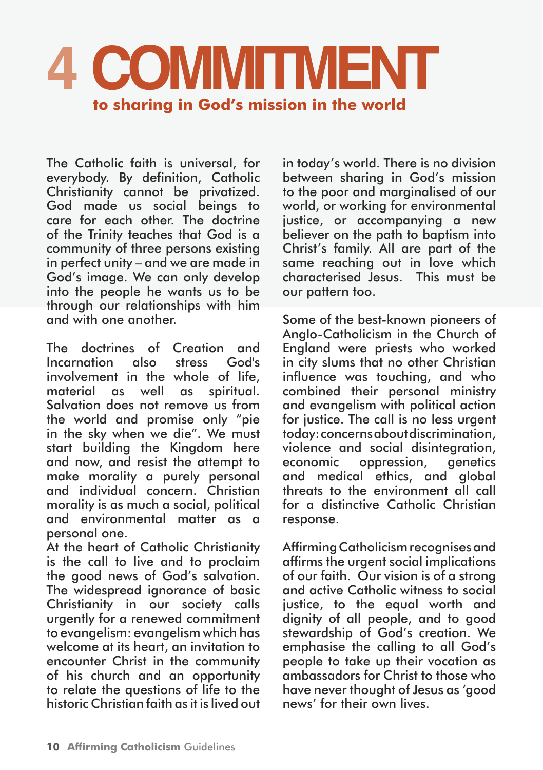

The Catholic faith is universal, for everybody. By definition, Catholic Christianity cannot be privatized. God made us social beings to care for each other. The doctrine of the Trinity teaches that God is a community of three persons existing in perfect unity – and we are made in God's image. We can only develop into the people he wants us to be through our relationships with him and with one another.

The doctrines of Creation and Incarnation also stress God's involvement in the whole of life, material as well as spiritual. Salvation does not remove us from the world and promise only "pie in the sky when we die". We must start building the Kingdom here and now, and resist the attempt to make morality a purely personal and individual concern. Christian morality is as much a social, political and environmental matter as a personal one.

At the heart of Catholic Christianity is the call to live and to proclaim the good news of God's salvation. The widespread ignorance of basic Christianity in our society calls urgently for a renewed commitment to evangelism: evangelism which has welcome at its heart, an invitation to encounter Christ in the community of his church and an opportunity to relate the questions of life to the historic Christian faith as it is lived out

in today's world. There is no division between sharing in God's mission to the poor and marginalised of our world, or working for environmental justice, or accompanying a new believer on the path to baptism into Christ's family. All are part of the same reaching out in love which characterised Jesus. This must be our pattern too.

Some of the best-known pioneers of Anglo-Catholicism in the Church of England were priests who worked in city slums that no other Christian influence was touching, and who combined their personal ministry and evangelism with political action for justice. The call is no less urgent today: concerns about discrimination, violence and social disintegration, economic oppression, genetics and medical ethics, and global threats to the environment all call for a distinctive Catholic Christian response.

Affirming Catholicism recognises and affirms the urgent social implications of our faith. Our vision is of a strong and active Catholic witness to social justice, to the equal worth and dignity of all people, and to good stewardship of God's creation. We emphasise the calling to all God's people to take up their vocation as ambassadors for Christ to those who have never thought of Jesus as 'good news' for their own lives.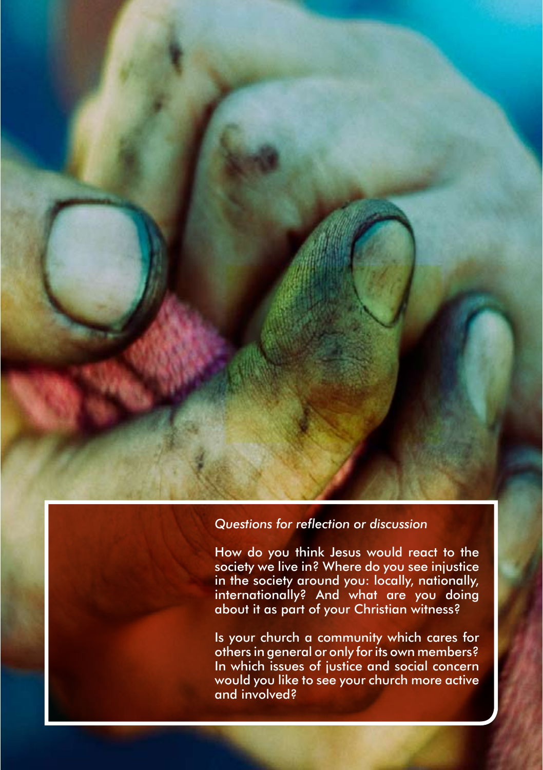

How do you think Jesus would react to the society we live in? Where do you see injustice in the society around you: locally, nationally, internationally? And what are you doing about it as part of your Christian witness?

Is your church a community which cares for others in general or only for its own members? In which issues of justice and social concern would you like to see your church more active and involved?

**Affirming Catholicism** Guidelines **11**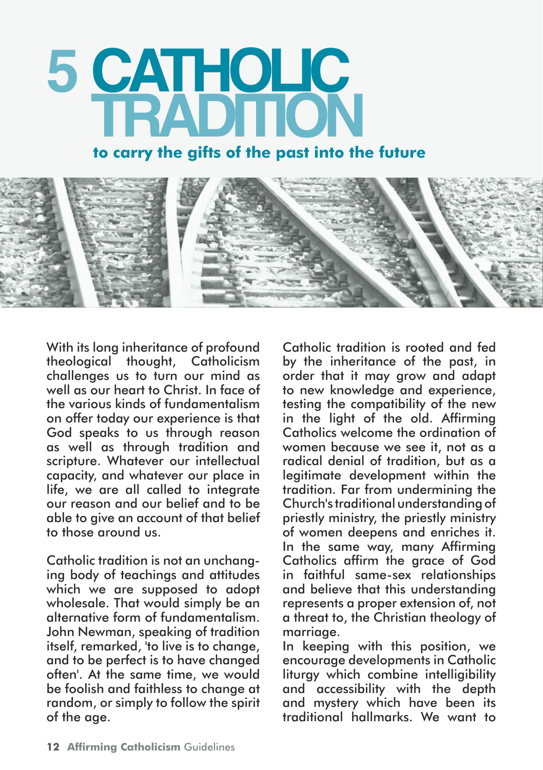## **5 CATHOLIC TRADITION**

#### **to carry the gifts of the past into the future**



With its long inheritance of profound theological thought, Catholicism challenges us to turn our mind as well as our heart to Christ. In face of the various kinds of fundamentalism on offer today our experience is that God speaks to us through reason as well as through tradition and scripture. Whatever our intellectual capacity, and whatever our place in life, we are all called to integrate our reason and our belief and to be able to give an account of that belief to those around us.

Catholic tradition is not an unchanging body of teachings and attitudes which we are supposed to adopt wholesale. That would simply be an alternative form of fundamentalism. John Newman, speaking of tradition itself, remarked, 'to live is to change, and to be perfect is to have changed often'. At the same time, we would be foolish and faithless to change at random, or simply to follow the spirit of the age.

Catholic tradition is rooted and fed by the inheritance of the past, in order that it may grow and adapt to new knowledge and experience, testing the compatibility of the new in the light of the old. Affirming Catholics welcome the ordination of women because we see it, not as a radical denial of tradition, but as a legitimate development within the tradition. Far from undermining the Church's traditional understanding of priestly ministry, the priestly ministry of women deepens and enriches it. In the same way, many Affirming Catholics affirm the grace of God in faithful same-sex relationships and believe that this understanding represents a proper extension of, not a threat to, the Christian theology of marriage.

In keeping with this position, we encourage developments in Catholic liturgy which combine intelligibility and accessibility with the depth and mystery which have been its traditional hallmarks. We want to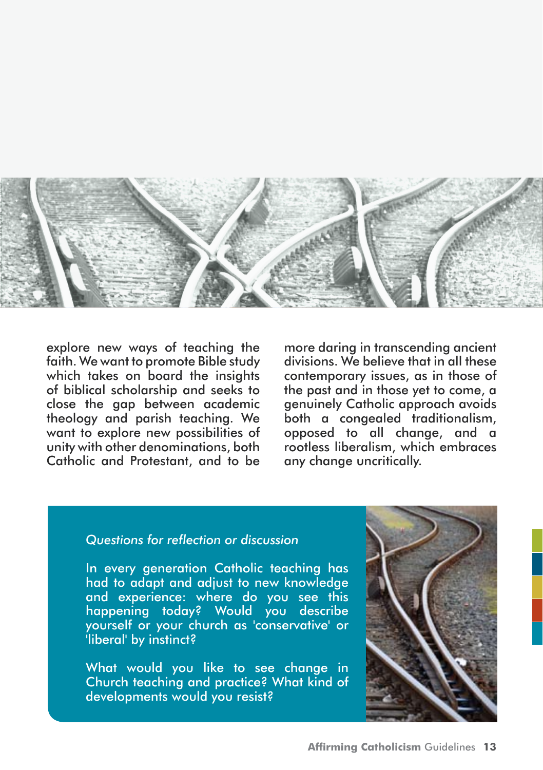

explore new ways of teaching the faith. We want to promote Bible study which takes on board the insights of biblical scholarship and seeks to close the gap between academic theology and parish teaching. We want to explore new possibilities of unity with other denominations, both Catholic and Protestant, and to be more daring in transcending ancient divisions. We believe that in all these contemporary issues, as in those of the past and in those yet to come, a genuinely Catholic approach avoids both a congealed traditionalism, opposed to all change, and a rootless liberalism, which embraces any change uncritically.

#### *Questions for reflection or discussion*

In every generation Catholic teaching has had to adapt and adjust to new knowledge and experience: where do you see this happening today? Would you describe yourself or your church as 'conservative' or 'liberal' by instinct?

What would you like to see change in Church teaching and practice? What kind of developments would you resist?

![](_page_13_Picture_6.jpeg)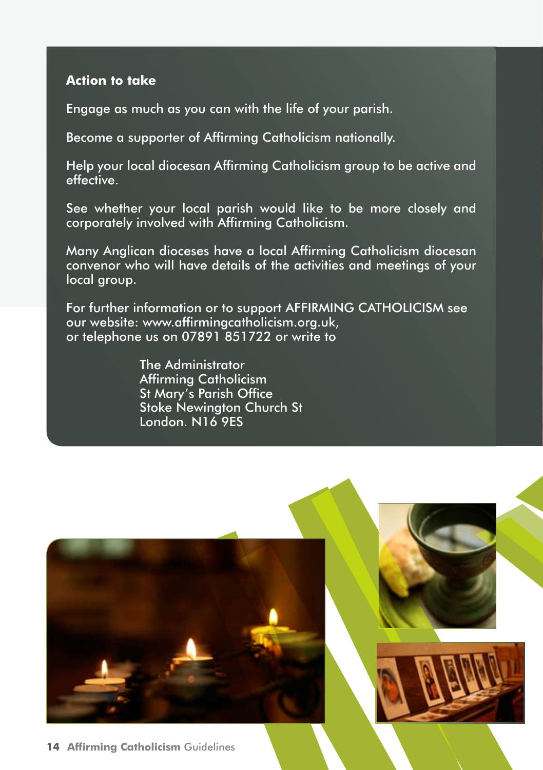#### **Action to take**

Engage as much as you can with the life of your parish.

Become a supporter of Affirming Catholicism nationally.

Help your local diocesan Affirming Catholicism group to be active and effective.

See whether your local parish would like to be more closely and corporately involved with Affirming Catholicism.

Many Anglican dioceses have a local Affirming Catholicism diocesan convenor who will have details of the activities and meetings of your local group.

For further information or to support AFFIRMING CATHOLICISM see our website: www.affirmingcatholicism.org.uk, or telephone us on 07891 851722 or write to

> The Administrator Affirming Catholicism St Mary's Parish Office Stoke Newington Church St London. N16 9ES

![](_page_14_Picture_8.jpeg)